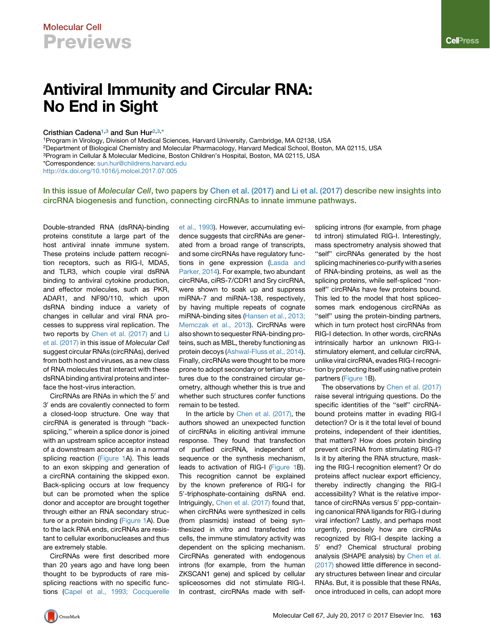# Antiviral Immunity and Circular RNA: No End in Sight

### Cristhian Cadena<sup>1,[3](#page-0-1)</sup> and Sun Hur<sup>[2](#page-0-2)[,3,](#page-0-1)[\\*](#page-0-3)</sup>

<span id="page-0-0"></span>1Program in Virology, Division of Medical Sciences, Harvard University, Cambridge, MA 02138, USA

<span id="page-0-2"></span>2Department of Biological Chemistry and Molecular Pharmacology, Harvard Medical School, Boston, MA 02115, USA

<span id="page-0-1"></span>3Program in Cellular & Molecular Medicine, Boston Children's Hospital, Boston, MA 02115, USA

<span id="page-0-3"></span>\*Correspondence: [sun.hur@childrens.harvard.edu](mailto:sun.hur@childrens.harvard.edu)

<http://dx.doi.org/10.1016/j.molcel.2017.07.005>

In this issue of Molecular Cell, two papers by [Chen et al. \(2017\)](#page-1-0) and [Li et al. \(2017\)](#page-1-1) describe new insights into circRNA biogenesis and function, connecting circRNAs to innate immune pathways.

Double-stranded RNA (dsRNA)-binding proteins constitute a large part of the host antiviral innate immune system. These proteins include pattern recognition receptors, such as RIG-I, MDA5, and TLR3, which couple viral dsRNA binding to antiviral cytokine production, and effector molecules, such as PKR, ADAR1, and NF90/110, which upon dsRNA binding induce a variety of changes in cellular and viral RNA processes to suppress viral replication. The two reports by [Chen et al. \(2017\)](#page-1-0) and [Li](#page-1-1) [et al. \(2017\)](#page-1-1) in this issue of *Molecular Cell* suggest circular RNAs (circRNAs), derived from both host and viruses, as a new class of RNA molecules that interact with these dsRNA binding antiviral proteins and interface the host-virus interaction.

CircRNAs are RNAs in which the 5' and 3' ends are covalently connected to form a closed-loop structure. One way that circRNA is generated is through ''backsplicing,'' wherein a splice donor is joined with an upstream splice acceptor instead of a downstream acceptor as in a normal splicing reaction ([Figure 1A](#page-1-2)). This leads to an exon skipping and generation of a circRNA containing the skipped exon. Back-splicing occurs at low frequency but can be promoted when the splice donor and acceptor are brought together through either an RNA secondary structure or a protein binding ([Figure 1A](#page-1-2)). Due to the lack RNA ends, circRNAs are resistant to cellular exoribonucleases and thus are extremely stable.

CircRNAs were first described more than 20 years ago and have long been thought to be byproducts of rare missplicing reactions with no specific functions [\(Capel et al., 1993; Cocquerelle](#page-1-3) [et al., 1993\)](#page-1-3). However, accumulating evidence suggests that circRNAs are generated from a broad range of transcripts, and some circRNAs have regulatory functions in gene expression [\(Lasda and](#page-1-4) [Parker, 2014\)](#page-1-4). For example, two abundant circRNAs, ciRS-7/CDR1 and Sry circRNA, were shown to soak up and suppress miRNA-7 and miRNA-138, respectively, by having multiple repeats of cognate miRNA-binding sites ([Hansen et al., 2013;](#page-1-5) [Memczak et al., 2013](#page-1-5)). CircRNAs were also shown to sequester RNA-binding proteins, such as MBL, thereby functioning as protein decoys ([Ashwal-Fluss et al., 2014](#page-1-6)). Finally, circRNAs were thought to be more prone to adopt secondary or tertiary structures due to the constrained circular geometry, although whether this is true and whether such structures confer functions remain to be tested.

In the article by [Chen et al. \(2017\),](#page-1-0) the authors showed an unexpected function of circRNAs in eliciting antiviral immune response. They found that transfection of purified circRNA, independent of sequence or the synthesis mechanism, leads to activation of RIG-I ([Figure 1B](#page-1-2)). This recognition cannot be explained by the known preference of RIG-I for 5'-triphosphate-containing dsRNA end. Intriguingly, [Chen et al. \(2017\)](#page-1-0) found that, when circRNAs were synthesized in cells (from plasmids) instead of being synthesized in vitro and transfected into cells, the immune stimulatory activity was dependent on the splicing mechanism. CircRNAs generated with endogenous introns (for example, from the human ZKSCAN1 gene) and spliced by cellular spliceosomes did not stimulate RIG-I. In contrast, circRNAs made with selfsplicing introns (for example, from phage td intron) stimulated RIG-I. Interestingly, mass spectrometry analysis showed that "self" circRNAs generated by the host splicing machineries co-purify with a series of RNA-binding proteins, as well as the splicing proteins, while self-spliced ''nonself'' circRNAs have few proteins bound. This led to the model that host spliceosomes mark endogenous circRNAs as "self" using the protein-binding partners, which in turn protect host circRNAs from RIG-I detection. In other words, circRNAs intrinsically harbor an unknown RIG-Istimulatory element, and cellular circRNA, unlike viral circRNA, evades RIG-I recognition by protecting itself using native protein partners [\(Figure 1](#page-1-2)B).

The observations by [Chen et al. \(2017\)](#page-1-0) raise several intriguing questions. Do the specific identities of the ''self'' circRNAbound proteins matter in evading RIG-I detection? Or is it the total level of bound proteins, independent of their identities, that matters? How does protein binding prevent circRNA from stimulating RIG-I? Is it by altering the RNA structure, masking the RIG-I recognition element? Or do proteins affect nuclear export efficiency, thereby indirectly changing the RIG-I accessibility? What is the relative importance of circRNAs versus 5' ppp-containing canonical RNA ligands for RIG-I during viral infection? Lastly, and perhaps most urgently, precisely how are circRNAs recognized by RIG-I despite lacking a 5' end? Chemical structural probing analysis (SHAPE analysis) by [Chen et al.](#page-1-0) [\(2017\)](#page-1-0) showed little difference in secondary structures between linear and circular RNAs. But, it is possible that these RNAs, once introduced in cells, can adopt more